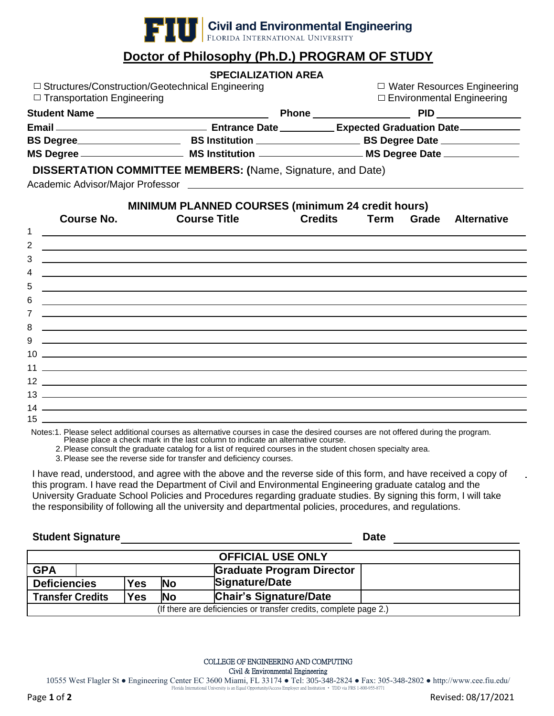

## **Doctor of Philosophy (Ph.D.) PROGRAM OF STUDY**

|                                                                                                               | <b>SPECIALIZATION AREA</b>                                                                                                                                             |       |                    |  |
|---------------------------------------------------------------------------------------------------------------|------------------------------------------------------------------------------------------------------------------------------------------------------------------------|-------|--------------------|--|
|                                                                                                               | $\Box$ Structures/Construction/Geotechnical Engineering<br>$\Box$ Water Resources Engineering<br>$\Box$ Environmental Engineering<br>$\Box$ Transportation Engineering |       |                    |  |
|                                                                                                               |                                                                                                                                                                        |       |                    |  |
|                                                                                                               |                                                                                                                                                                        |       |                    |  |
| BS Degree_____________________________BS Institution ________________________BS Degree Date _________________ |                                                                                                                                                                        |       |                    |  |
|                                                                                                               |                                                                                                                                                                        |       |                    |  |
|                                                                                                               | <b>DISSERTATION COMMITTEE MEMBERS: (Name, Signature, and Date)</b>                                                                                                     |       |                    |  |
|                                                                                                               |                                                                                                                                                                        |       |                    |  |
| <b>Course No.</b>                                                                                             | <b>MINIMUM PLANNED COURSES (minimum 24 credit hours)</b><br><b>Course Title Credits Term</b>                                                                           | Grade | <b>Alternative</b> |  |
|                                                                                                               |                                                                                                                                                                        |       |                    |  |

Notes:1. Please select additional courses as alternative courses in case the desired courses are not offered during the program. Please place a check mark in the last column to indicate an alternative course.

2.Please consult the graduate catalog for a list of required courses in the student chosen specialty area.

3.Please see the reverse side for transfer and deficiency courses.

I have read, understood, and agree with the above and the reverse side of this form, and have received a copy of this program. I have read the Department of Civil and Environmental Engineering graduate catalog and the University Graduate School Policies and Procedures regarding graduate studies. By signing this form, I will take the responsibility of following all the university and departmental policies, procedures, and regulations.

## **Student Signature Date**

| <b>OFFICIAL USE ONLY</b>                                                            |  |            |           |                                  |
|-------------------------------------------------------------------------------------|--|------------|-----------|----------------------------------|
| <b>GPA</b>                                                                          |  |            |           | <b>Graduate Program Director</b> |
| <b>Deficiencies</b>                                                                 |  | <b>Yes</b> | <b>No</b> | Signature/Date                   |
| <b>Chair's Signature/Date</b><br><b>Transfer Credits</b><br><b>Yes</b><br><b>No</b> |  |            |           |                                  |
| (If there are deficiencies or transfer credits, complete page 2.)                   |  |            |           |                                  |

COLLEGE OF ENGINEERING AND COMPUTING Civil & Environmental Engineering

Page **1** of **2** Revised: 08/17/2021